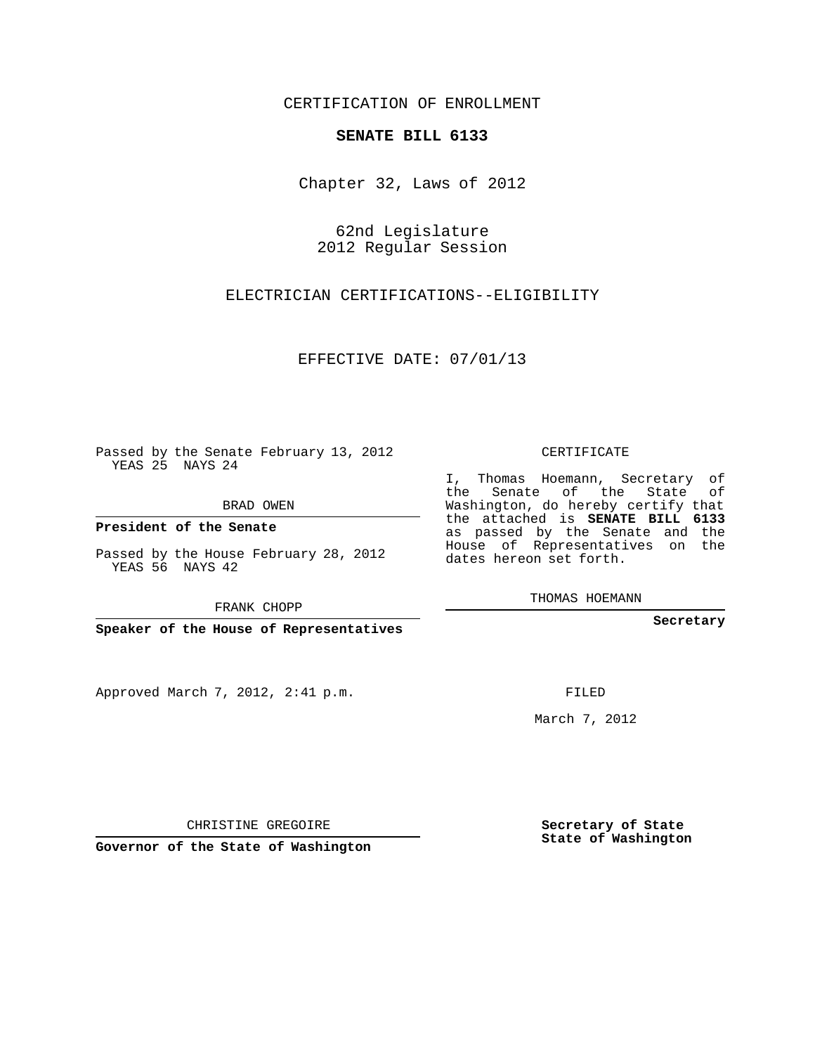## CERTIFICATION OF ENROLLMENT

## **SENATE BILL 6133**

Chapter 32, Laws of 2012

62nd Legislature 2012 Regular Session

ELECTRICIAN CERTIFICATIONS--ELIGIBILITY

EFFECTIVE DATE: 07/01/13

Passed by the Senate February 13, 2012 YEAS 25 NAYS 24

BRAD OWEN

**President of the Senate**

Passed by the House February 28, 2012 YEAS 56 NAYS 42

FRANK CHOPP

**Speaker of the House of Representatives**

Approved March 7, 2012, 2:41 p.m.

CERTIFICATE

I, Thomas Hoemann, Secretary of the Senate of the State of Washington, do hereby certify that the attached is **SENATE BILL 6133** as passed by the Senate and the House of Representatives on the dates hereon set forth.

THOMAS HOEMANN

**Secretary**

FILED

March 7, 2012

**Secretary of State State of Washington**

CHRISTINE GREGOIRE

**Governor of the State of Washington**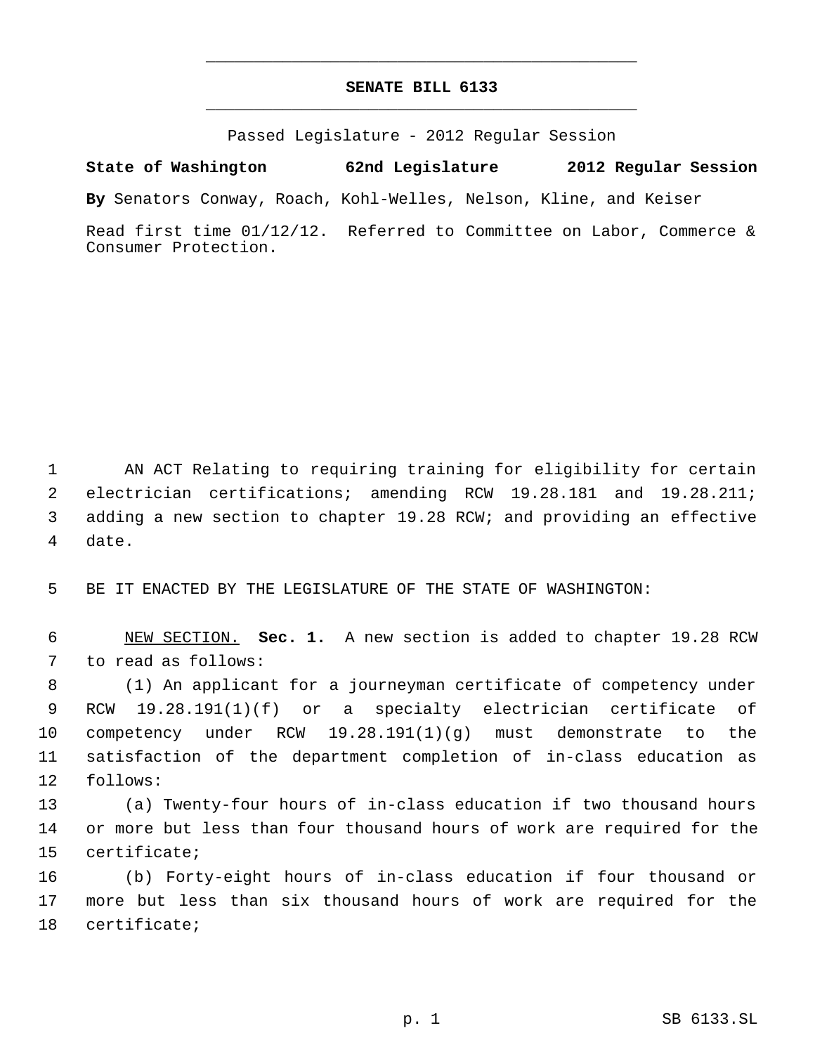## **SENATE BILL 6133** \_\_\_\_\_\_\_\_\_\_\_\_\_\_\_\_\_\_\_\_\_\_\_\_\_\_\_\_\_\_\_\_\_\_\_\_\_\_\_\_\_\_\_\_\_

\_\_\_\_\_\_\_\_\_\_\_\_\_\_\_\_\_\_\_\_\_\_\_\_\_\_\_\_\_\_\_\_\_\_\_\_\_\_\_\_\_\_\_\_\_

Passed Legislature - 2012 Regular Session

**State of Washington 62nd Legislature 2012 Regular Session**

**By** Senators Conway, Roach, Kohl-Welles, Nelson, Kline, and Keiser

Read first time 01/12/12. Referred to Committee on Labor, Commerce & Consumer Protection.

 AN ACT Relating to requiring training for eligibility for certain electrician certifications; amending RCW 19.28.181 and 19.28.211; adding a new section to chapter 19.28 RCW; and providing an effective date.

BE IT ENACTED BY THE LEGISLATURE OF THE STATE OF WASHINGTON:

 NEW SECTION. **Sec. 1.** A new section is added to chapter 19.28 RCW to read as follows:

 (1) An applicant for a journeyman certificate of competency under RCW 19.28.191(1)(f) or a specialty electrician certificate of competency under RCW 19.28.191(1)(g) must demonstrate to the satisfaction of the department completion of in-class education as follows:

 (a) Twenty-four hours of in-class education if two thousand hours or more but less than four thousand hours of work are required for the certificate;

 (b) Forty-eight hours of in-class education if four thousand or more but less than six thousand hours of work are required for the certificate;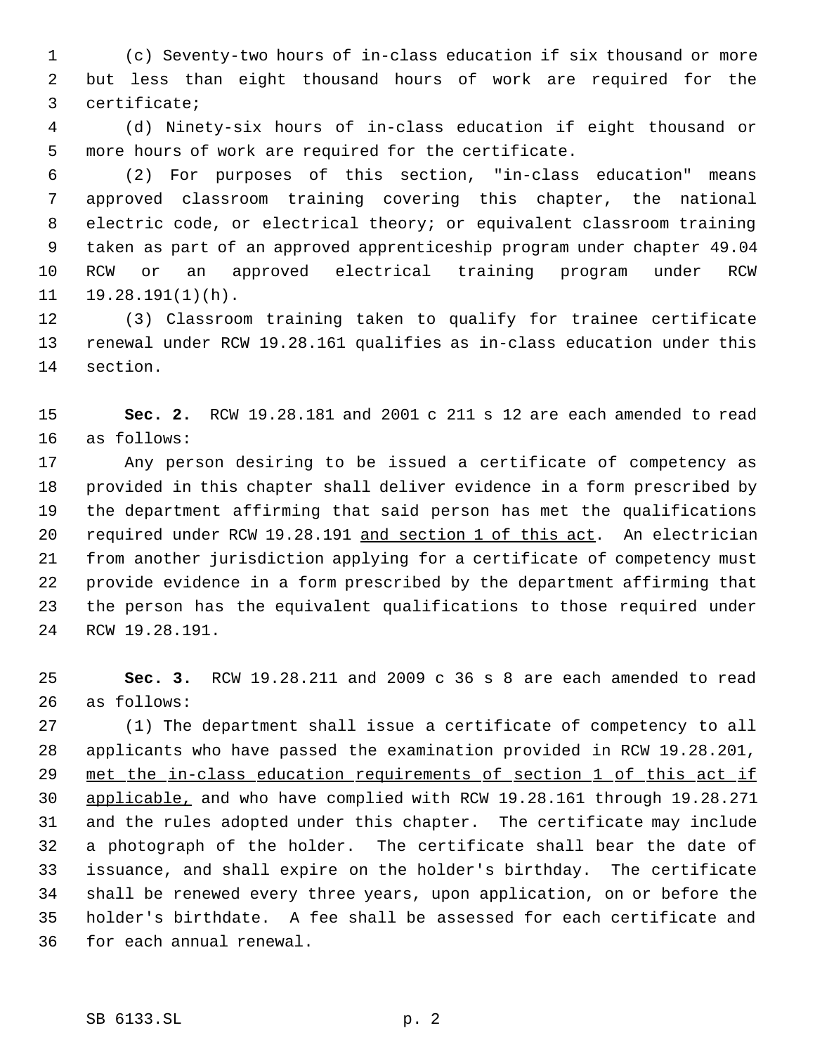(c) Seventy-two hours of in-class education if six thousand or more but less than eight thousand hours of work are required for the certificate;

 (d) Ninety-six hours of in-class education if eight thousand or more hours of work are required for the certificate.

 (2) For purposes of this section, "in-class education" means approved classroom training covering this chapter, the national electric code, or electrical theory; or equivalent classroom training taken as part of an approved apprenticeship program under chapter 49.04 RCW or an approved electrical training program under RCW 19.28.191(1)(h).

 (3) Classroom training taken to qualify for trainee certificate renewal under RCW 19.28.161 qualifies as in-class education under this section.

 **Sec. 2.** RCW 19.28.181 and 2001 c 211 s 12 are each amended to read as follows:

 Any person desiring to be issued a certificate of competency as provided in this chapter shall deliver evidence in a form prescribed by the department affirming that said person has met the qualifications required under RCW 19.28.191 and section 1 of this act. An electrician from another jurisdiction applying for a certificate of competency must provide evidence in a form prescribed by the department affirming that the person has the equivalent qualifications to those required under RCW 19.28.191.

 **Sec. 3.** RCW 19.28.211 and 2009 c 36 s 8 are each amended to read as follows:

 (1) The department shall issue a certificate of competency to all applicants who have passed the examination provided in RCW 19.28.201, 29 met the in-class education requirements of section 1 of this act if applicable, and who have complied with RCW 19.28.161 through 19.28.271 and the rules adopted under this chapter. The certificate may include a photograph of the holder. The certificate shall bear the date of issuance, and shall expire on the holder's birthday. The certificate shall be renewed every three years, upon application, on or before the holder's birthdate. A fee shall be assessed for each certificate and for each annual renewal.